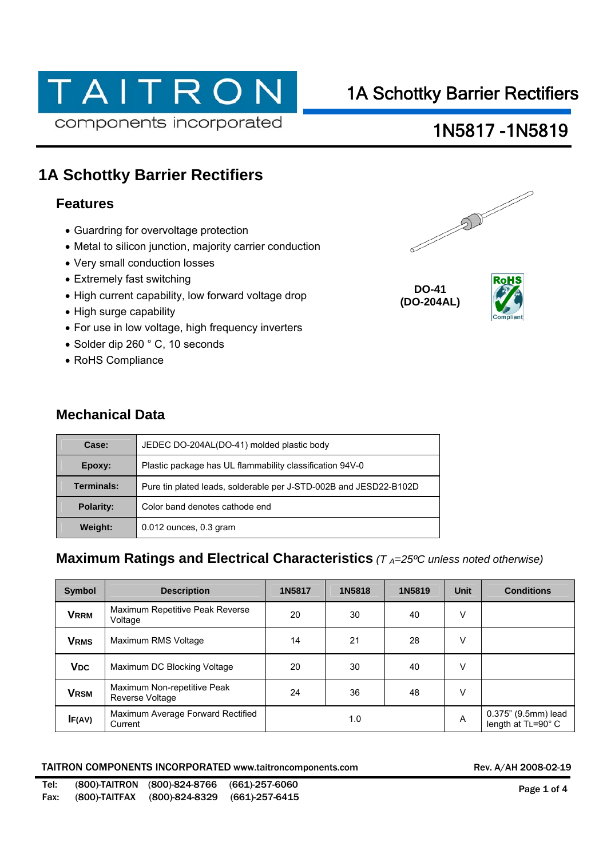# TAITRON components incorporated

# 1A Schottky Barrier Rectifiers

## 1N5817 -1N5819

### **1A Schottky Barrier Rectifiers**

### **Features**

- Guardring for overvoltage protection
- Metal to silicon junction, majority carrier conduction
- Very small conduction losses
- Extremely fast switching
- High current capability, low forward voltage drop
- High surge capability
- For use in low voltage, high frequency inverters
- Solder dip 260 ° C, 10 seconds
- RoHS Compliance

### **Mechanical Data**

| Case:      | JEDEC DO-204AL(DO-41) molded plastic body                         |  |  |  |  |
|------------|-------------------------------------------------------------------|--|--|--|--|
| Epoxy:     | Plastic package has UL flammability classification 94V-0          |  |  |  |  |
| Terminals: | Pure tin plated leads, solderable per J-STD-002B and JESD22-B102D |  |  |  |  |
| Polarity:  | Color band denotes cathode end                                    |  |  |  |  |
| Weight:    | $0.012$ ounces, $0.3$ gram                                        |  |  |  |  |

### **Maximum Ratings and Electrical Characteristics** ( $T_A=25^{\circ}$ C unless noted otherwise)

| <b>Symbol</b>         | <b>Description</b>                                    | 1N5817 | 1N5818 | 1N5819 | <b>Unit</b> | <b>Conditions</b>                         |
|-----------------------|-------------------------------------------------------|--------|--------|--------|-------------|-------------------------------------------|
| <b>VRRM</b>           | Maximum Repetitive Peak Reverse<br>Voltage            | 20     | 30     | 40     | V           |                                           |
| <b>VRMS</b>           | Maximum RMS Voltage                                   | 14     | 21     | 28     | ٧           |                                           |
| <b>V<sub>DC</sub></b> | Maximum DC Blocking Voltage                           | 20     | 30     | 40     | v           |                                           |
| <b>VRSM</b>           | Maximum Non-repetitive Peak<br><b>Reverse Voltage</b> | 24     | 36     | 48     | V           |                                           |
| IF(AV)                | Maximum Average Forward Rectified<br>Current          | 1.0    |        |        | A           | 0.375" (9.5mm) lead<br>length at TL=90° C |

#### TAITRON COMPONENTS INCORPORATED www.taitroncomponents.com



**DO-41 (DO-204AL)**

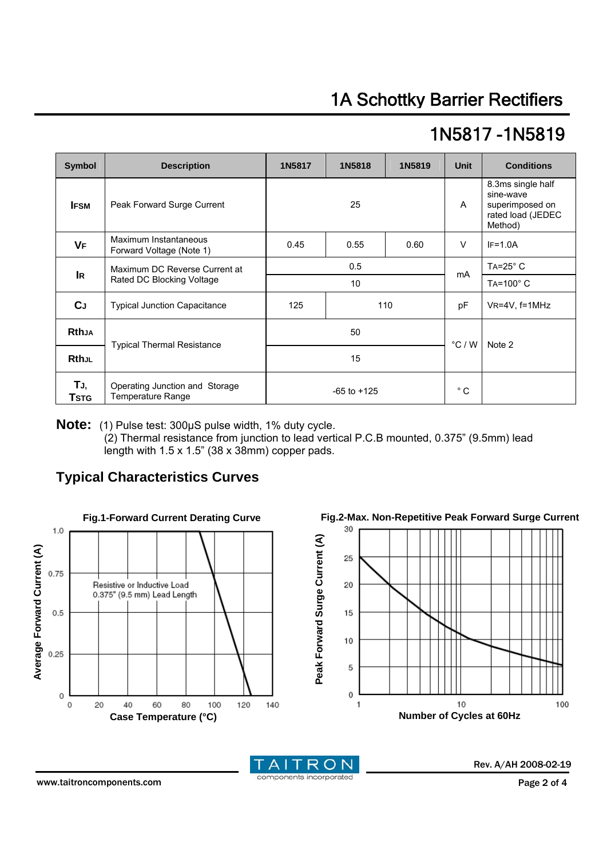# 1N5817 -1N5819

| <b>Symbol</b>       | <b>Description</b>                                         | 1N5817          | 1N5818 | 1N5819 | <b>Unit</b>     | <b>Conditions</b>                                                                 |
|---------------------|------------------------------------------------------------|-----------------|--------|--------|-----------------|-----------------------------------------------------------------------------------|
| <b>IFSM</b>         | Peak Forward Surge Current                                 |                 | 25     |        |                 | 8.3ms single half<br>sine-wave<br>superimposed on<br>rated load (JEDEC<br>Method) |
| <b>VF</b>           | Maximum Instantaneous<br>Forward Voltage (Note 1)          | 0.45            | 0.55   | 0.60   | $\vee$          | $IF=1.0A$                                                                         |
| <b>IR</b>           | Maximum DC Reverse Current at<br>Rated DC Blocking Voltage | 0.5             |        |        | mA              | $TA = 25^\circ C$                                                                 |
|                     |                                                            | 10 <sup>°</sup> |        |        |                 | TA=100°C                                                                          |
| <b>C</b> J          | <b>Typical Junction Capacitance</b>                        | 125             | 110    |        | рF              | VR=4V, f=1MHz                                                                     |
| <b>Rthja</b>        | <b>Typical Thermal Resistance</b>                          | 50              |        |        | $\degree$ C / W | Note 2                                                                            |
| <b>RthJL</b>        |                                                            | 15              |        |        |                 |                                                                                   |
| TJ,<br><b>T</b> stg | Operating Junction and Storage<br><b>Temperature Range</b> | $-65$ to $+125$ |        |        | $^{\circ}$ C    |                                                                                   |

**Note:** (1) Pulse test: 300μS pulse width, 1% duty cycle.

(2) Thermal resistance from junction to lead vertical P.C.B mounted, 0.375" (9.5mm) lead length with 1.5 x 1.5" (38 x 38mm) copper pads.

### **Typical Characteristics Curves**



**Fig.2-Max. Non-Repetitive Peak Forward Surge Current** 





Rev. A/AH 2008-02-19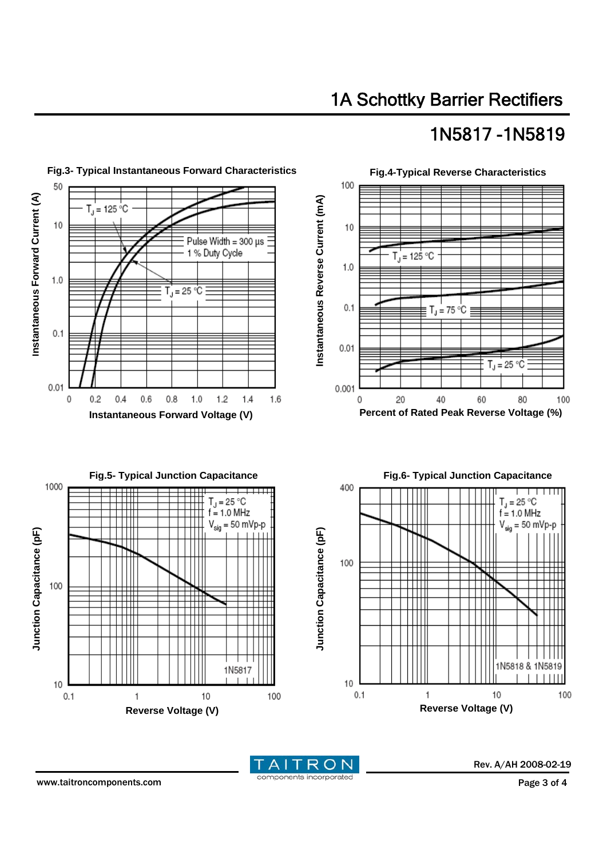# 1A Schottky Barrier Rectifiers

## 1N5817 -1N5819





Rev. A/AH 2008-02-19